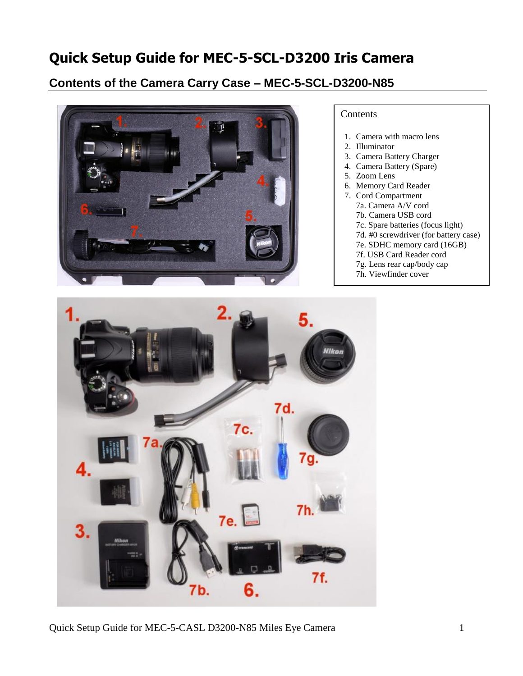# **Quick Setup Guide for MEC-5-SCL-D3200 Iris Camera**

# **Contents of the Camera Carry Case – MEC-5-SCL-D3200-N85**



#### **Contents**

- 1. Camera with macro lens
- 2. Illuminator
- 3. Camera Battery Charger
- 4. Camera Battery (Spare)
- 5. Zoom Lens
- 6. Memory Card Reader
- 7. Cord Compartment 7a. Camera A/V cord 7b. Camera USB cord 7c. Spare batteries (focus light) 7d. #0 screwdriver (for battery case) 7e. SDHC memory card (16GB) 7f. USB Card Reader cord 7g. Lens rear cap/body cap
	- 7h. Viewfinder cover



Quick Setup Guide for MEC-5-CASL D3200-N85 Miles Eye Camera 1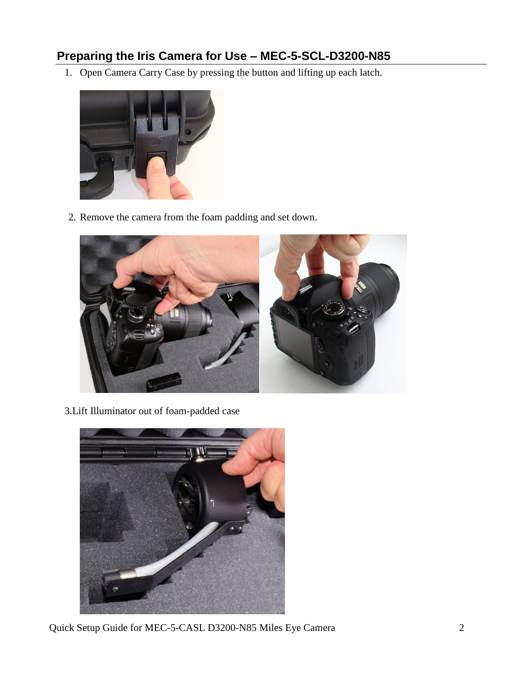# **Preparing the Iris Camera for Use – MEC-5-SCL-D3200-N85**

1. Open Camera Carry Case by pressing the button and lifting up each latch.



2. Remove the camera from the foam padding and set down.



3.Lift Illuminator out of foam-padded case



Quick Setup Guide for MEC-5-CASL D3200-N85 Miles Eye Camera 2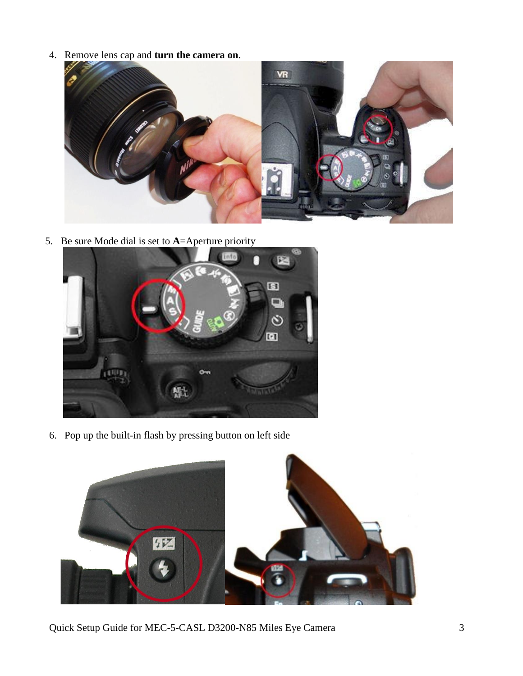4. Remove lens cap and **turn the camera on**.



5. Be sure Mode dial is set to **A**=Aperture priority



6. Pop up the built-in flash by pressing button on left side



Quick Setup Guide for MEC-5-CASL D3200-N85 Miles Eye Camera 3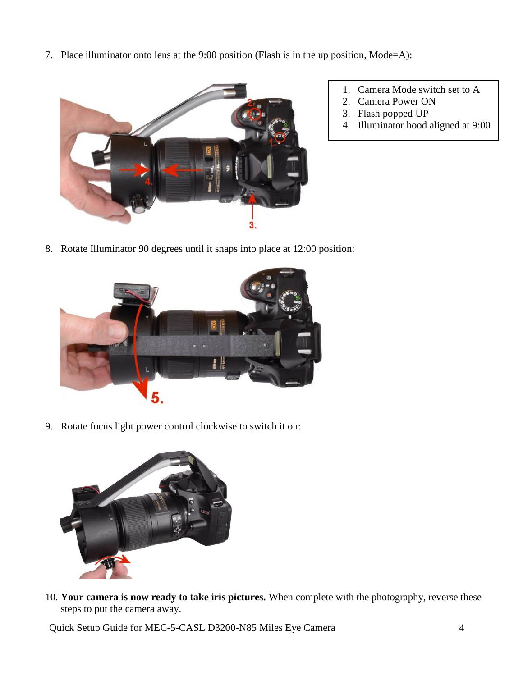7. Place illuminator onto lens at the 9:00 position (Flash is in the up position, Mode=A):



- 1. Camera Mode switch set to A
- 2. Camera Power ON
- 3. Flash popped UP
- 4. Illuminator hood aligned at 9:00

8. Rotate Illuminator 90 degrees until it snaps into place at 12:00 position:



9. Rotate focus light power control clockwise to switch it on:



10. **Your camera is now ready to take iris pictures.** When complete with the photography, reverse these steps to put the camera away.

Quick Setup Guide for MEC-5-CASL D3200-N85 Miles Eye Camera 4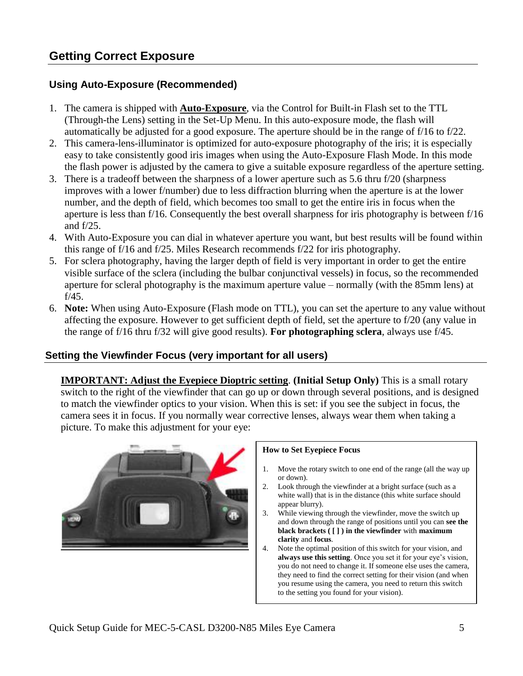### **Using Auto-Exposure (Recommended)**

- 1. The camera is shipped with **Auto-Exposure**, via the Control for Built-in Flash set to the TTL (Through-the Lens) setting in the Set-Up Menu. In this auto-exposure mode, the flash will automatically be adjusted for a good exposure. The aperture should be in the range of f/16 to f/22.
- 2. This camera-lens-illuminator is optimized for auto-exposure photography of the iris; it is especially easy to take consistently good iris images when using the Auto-Exposure Flash Mode. In this mode the flash power is adjusted by the camera to give a suitable exposure regardless of the aperture setting.
- 3. There is a tradeoff between the sharpness of a lower aperture such as 5.6 thru f/20 (sharpness improves with a lower f/number) due to less diffraction blurring when the aperture is at the lower number, and the depth of field, which becomes too small to get the entire iris in focus when the aperture is less than f/16. Consequently the best overall sharpness for iris photography is between f/16 and f/25.
- 4. With Auto-Exposure you can dial in whatever aperture you want, but best results will be found within this range of f/16 and f/25. Miles Research recommends f/22 for iris photography.
- 5. For sclera photography, having the larger depth of field is very important in order to get the entire visible surface of the sclera (including the bulbar conjunctival vessels) in focus, so the recommended aperture for scleral photography is the maximum aperture value – normally (with the 85mm lens) at f/45.
- 6. **Note:** When using Auto-Exposure (Flash mode on TTL), you can set the aperture to any value without affecting the exposure. However to get sufficient depth of field, set the aperture to f/20 (any value in the range of f/16 thru f/32 will give good results). **For photographing sclera**, always use f/45.

### **Setting the Viewfinder Focus (very important for all users)**

**IMPORTANT: Adjust the Eyepiece Dioptric setting**. **(Initial Setup Only)** This is a small rotary switch to the right of the viewfinder that can go up or down through several positions, and is designed to match the viewfinder optics to your vision. When this is set: if you see the subject in focus, the camera sees it in focus. If you normally wear corrective lenses, always wear them when taking a picture. To make this adjustment for your eye:



#### **How to Set Eyepiece Focus**

- 1. Move the rotary switch to one end of the range (all the way up or down).
- 2. Look through the viewfinder at a bright surface (such as a white wall) that is in the distance (this white surface should appear blurry).
- 3. While viewing through the viewfinder, move the switch up and down through the range of positions until you can **see the black brackets ( [ ] ) in the viewfinder** with **maximum clarity** and **focus**.
- 4. Note the optimal position of this switch for your vision, and **always use this setting**. Once you set it for your eye's vision, you do not need to change it. If someone else uses the camera, they need to find the correct setting for their vision (and when you resume using the camera, you need to return this switch to the setting you found for your vision).